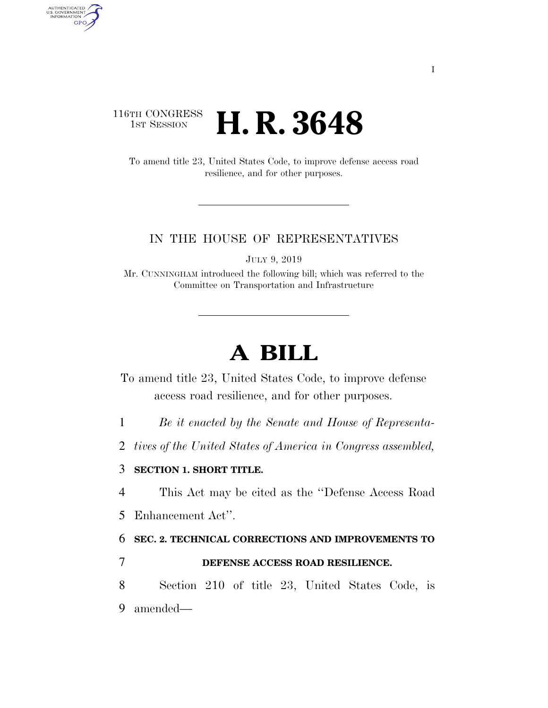## 116TH CONGRESS <sup>TH CONGRESS</sup> **H. R. 3648**

AUTHENTICATED<br>U.S. GOVERNMENT<br>INFORMATION

**GPO** 

To amend title 23, United States Code, to improve defense access road resilience, and for other purposes.

#### IN THE HOUSE OF REPRESENTATIVES

JULY 9, 2019

Mr. CUNNINGHAM introduced the following bill; which was referred to the Committee on Transportation and Infrastructure

# **A BILL**

To amend title 23, United States Code, to improve defense access road resilience, and for other purposes.

1 *Be it enacted by the Senate and House of Representa-*

2 *tives of the United States of America in Congress assembled,* 

### 3 **SECTION 1. SHORT TITLE.**

4 This Act may be cited as the ''Defense Access Road

5 Enhancement Act''.

6 **SEC. 2. TECHNICAL CORRECTIONS AND IMPROVEMENTS TO** 

### 7 **DEFENSE ACCESS ROAD RESILIENCE.**

8 Section 210 of title 23, United States Code, is 9 amended—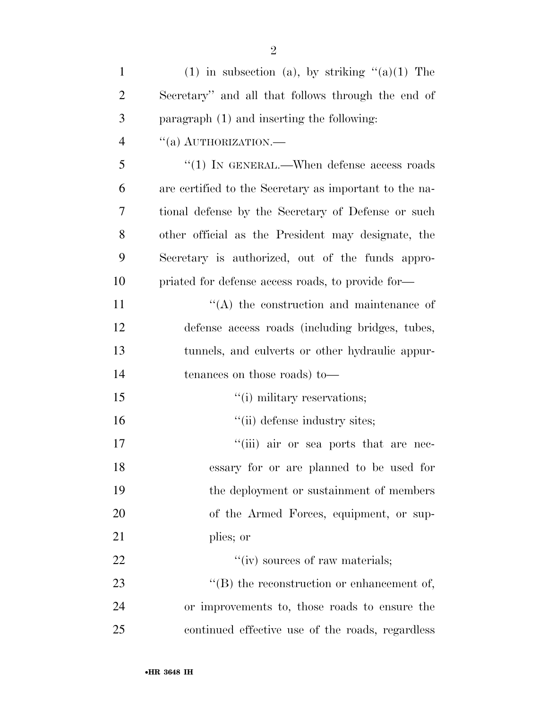| $\mathbf{1}$   | (1) in subsection (a), by striking $\lq(3)(1)$ The     |
|----------------|--------------------------------------------------------|
| $\overline{2}$ | Secretary" and all that follows through the end of     |
| 3              | paragraph (1) and inserting the following:             |
| $\overline{4}$ | $``(a)$ AUTHORIZATION.—                                |
| 5              | $"(1)$ IN GENERAL.—When defense access roads           |
| 6              | are certified to the Secretary as important to the na- |
| 7              | tional defense by the Secretary of Defense or such     |
| 8              | other official as the President may designate, the     |
| 9              | Secretary is authorized, out of the funds appro-       |
| 10             | priated for defense access roads, to provide for-      |
| 11             | $\lq\lq$ the construction and maintenance of           |
| 12             | defense access roads (including bridges, tubes,        |
| 13             | tunnels, and culverts or other hydraulic appur-        |
| 14             | tenances on those roads) to-                           |
| 15             | "(i) military reservations;                            |
| 16             | "(ii) defense industry sites;                          |
| 17             | "(iii) air or sea ports that are nec-                  |
| 18             | essary for or are planned to be used for               |
| 19             | the deployment or sustainment of members               |
| <b>20</b>      | of the Armed Forces, equipment, or sup-                |
| 21             | plies; or                                              |
| 22             | "(iv) sources of raw materials;                        |
| 23             | $\lq\lq$ the reconstruction or enhancement of,         |
| 24             | or improvements to, those roads to ensure the          |
| 25             | continued effective use of the roads, regardless       |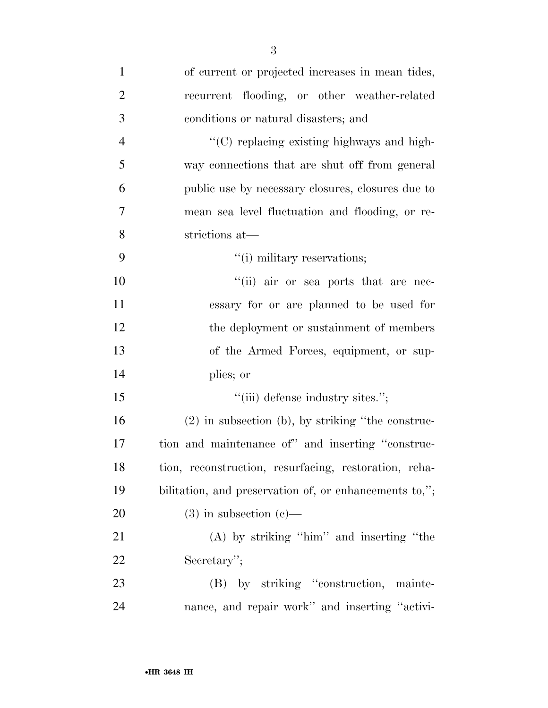| $\mathbf{1}$   | of current or projected increases in mean tides,       |
|----------------|--------------------------------------------------------|
| $\overline{2}$ | recurrent flooding, or other weather-related           |
| 3              | conditions or natural disasters; and                   |
| $\overline{4}$ | "(C) replacing existing highways and high-             |
| 5              | way connections that are shut off from general         |
| 6              | public use by necessary closures, closures due to      |
| 7              | mean sea level fluctuation and flooding, or re-        |
| 8              | strictions at-                                         |
| 9              | "(i) military reservations;                            |
| 10             | "(ii) air or sea ports that are nec-                   |
| 11             | essary for or are planned to be used for               |
| 12             | the deployment or sustainment of members               |
| 13             | of the Armed Forces, equipment, or sup-                |
| 14             | plies; or                                              |
| 15             | "(iii) defense industry sites.";                       |
| 16             | $(2)$ in subsection (b), by striking "the construc-    |
| 17             | tion and maintenance of" and inserting "construc-      |
| 18             | tion, reconstruction, resurfacing, restoration, reha-  |
| 19             | bilitation, and preservation of, or enhancements to,"; |
| 20             | $(3)$ in subsection $(e)$ —                            |
| 21             | $(A)$ by striking "him" and inserting "the             |
| 22             | Secretary";                                            |
| 23             | (B) by striking "construction, mainte-                 |
| 24             | nance, and repair work" and inserting "activi-         |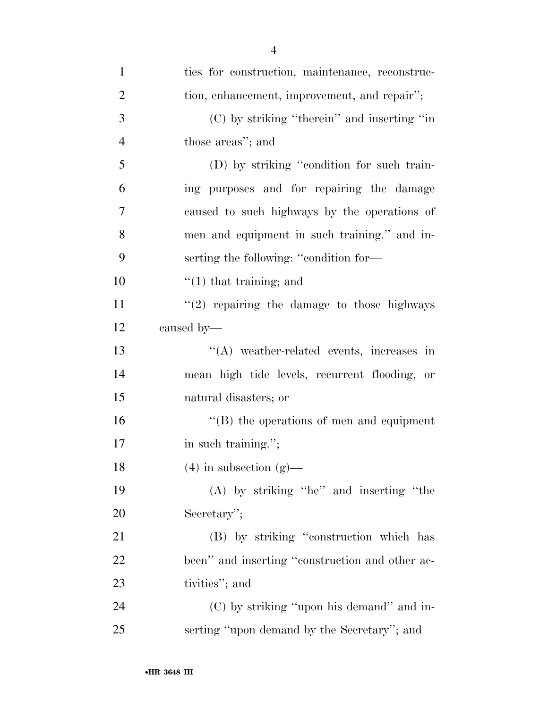| $\mathbf{1}$   | ties for construction, maintenance, reconstruc-  |
|----------------|--------------------------------------------------|
| $\overline{2}$ | tion, enhancement, improvement, and repair";     |
| 3              | $(C)$ by striking "therein" and inserting "in    |
| $\overline{4}$ | those areas"; and                                |
| 5              | (D) by striking "condition for such train-       |
| 6              | ing purposes and for repairing the damage        |
| $\tau$         | caused to such highways by the operations of     |
| 8              | men and equipment in such training." and in-     |
| 9              | serting the following: "condition for-           |
| 10             | $\lq(1)$ that training; and                      |
| 11             | $"(2)$ repairing the damage to those highways    |
| 12             | caused by—                                       |
| 13             | "(A) weather-related events, increases in        |
| 14             | mean high tide levels, recurrent flooding, or    |
| 15             | natural disasters; or                            |
| 16             | $\lq\lq (B)$ the operations of men and equipment |
| 17             | in such training.";                              |
| 18             | $(4)$ in subsection $(g)$ —                      |
| 19             | (A) by striking "he" and inserting "the          |
| 20             | Secretary";                                      |
| 21             | (B) by striking "construction which has          |
| 22             | been" and inserting "construction and other ac-  |
| 23             | tivities"; and                                   |
| 24             | (C) by striking "upon his demand" and in-        |
| 25             | serting "upon demand by the Secretary"; and      |